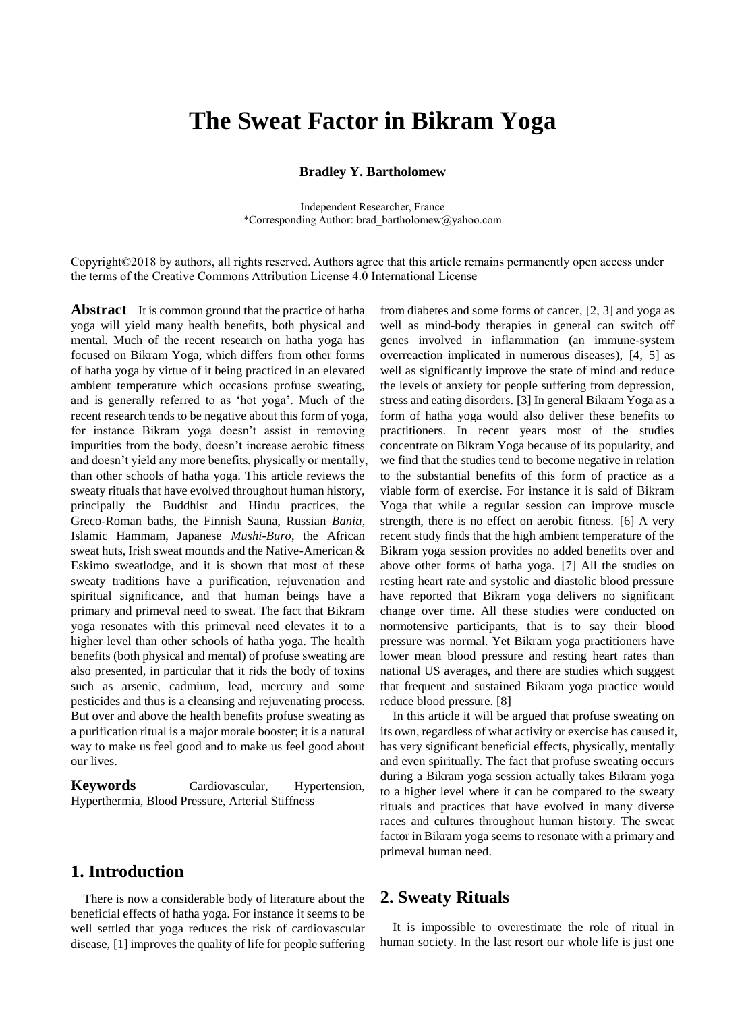# **The Sweat Factor in Bikram Yoga**

#### **Bradley Y. Bartholomew**

Independent Researcher, France \*Corresponding Author: brad\_bartholomew@yahoo.com

Copyright©2018 by authors, all rights reserved. Authors agree that this article remains permanently open access under the terms of the Creative Commons Attribution License 4.0 International License

**Abstract** It is common ground that the practice of hatha yoga will yield many health benefits, both physical and mental. Much of the recent research on hatha yoga has focused on Bikram Yoga, which differs from other forms of hatha yoga by virtue of it being practiced in an elevated ambient temperature which occasions profuse sweating, and is generally referred to as 'hot yoga'. Much of the recent research tends to be negative about this form of yoga, for instance Bikram yoga doesn't assist in removing impurities from the body, doesn't increase aerobic fitness and doesn't yield any more benefits, physically or mentally, than other schools of hatha yoga. This article reviews the sweaty rituals that have evolved throughout human history, principally the Buddhist and Hindu practices, the Greco-Roman baths, the Finnish Sauna, Russian *Bania*, Islamic Hammam, Japanese *Mushi-Buro*, the African sweat huts, Irish sweat mounds and the Native-American & Eskimo sweatlodge, and it is shown that most of these sweaty traditions have a purification, rejuvenation and spiritual significance, and that human beings have a primary and primeval need to sweat. The fact that Bikram yoga resonates with this primeval need elevates it to a higher level than other schools of hatha yoga. The health benefits (both physical and mental) of profuse sweating are also presented, in particular that it rids the body of toxins such as arsenic, cadmium, lead, mercury and some pesticides and thus is a cleansing and rejuvenating process. But over and above the health benefits profuse sweating as a purification ritual is a major morale booster; it is a natural way to make us feel good and to make us feel good about our lives.

**Keywords** Cardiovascular, Hypertension, Hyperthermia, Blood Pressure, Arterial Stiffness

## **1. Introduction**

There is now a considerable body of literature about the beneficial effects of hatha yoga. For instance it seems to be well settled that yoga reduces the risk of cardiovascular disease, [1] improves the quality of life for people suffering

from diabetes and some forms of cancer, [2, 3] and yoga as well as mind-body therapies in general can switch off genes involved in inflammation (an immune-system overreaction implicated in numerous diseases), [4, 5] as well as significantly improve the state of mind and reduce the levels of anxiety for people suffering from depression, stress and eating disorders. [3] In general Bikram Yoga as a form of hatha yoga would also deliver these benefits to practitioners. In recent years most of the studies concentrate on Bikram Yoga because of its popularity, and we find that the studies tend to become negative in relation to the substantial benefits of this form of practice as a viable form of exercise. For instance it is said of Bikram Yoga that while a regular session can improve muscle strength, there is no effect on aerobic fitness. [6] A very recent study finds that the high ambient temperature of the Bikram yoga session provides no added benefits over and above other forms of hatha yoga. [7] All the studies on resting heart rate and systolic and diastolic blood pressure have reported that Bikram yoga delivers no significant change over time. All these studies were conducted on normotensive participants, that is to say their blood pressure was normal. Yet Bikram yoga practitioners have lower mean blood pressure and resting heart rates than national US averages, and there are studies which suggest that frequent and sustained Bikram yoga practice would reduce blood pressure. [8]

In this article it will be argued that profuse sweating on its own, regardless of what activity or exercise has caused it, has very significant beneficial effects, physically, mentally and even spiritually. The fact that profuse sweating occurs during a Bikram yoga session actually takes Bikram yoga to a higher level where it can be compared to the sweaty rituals and practices that have evolved in many diverse races and cultures throughout human history. The sweat factor in Bikram yoga seems to resonate with a primary and primeval human need.

#### **2. Sweaty Rituals**

It is impossible to overestimate the role of ritual in human society. In the last resort our whole life is just one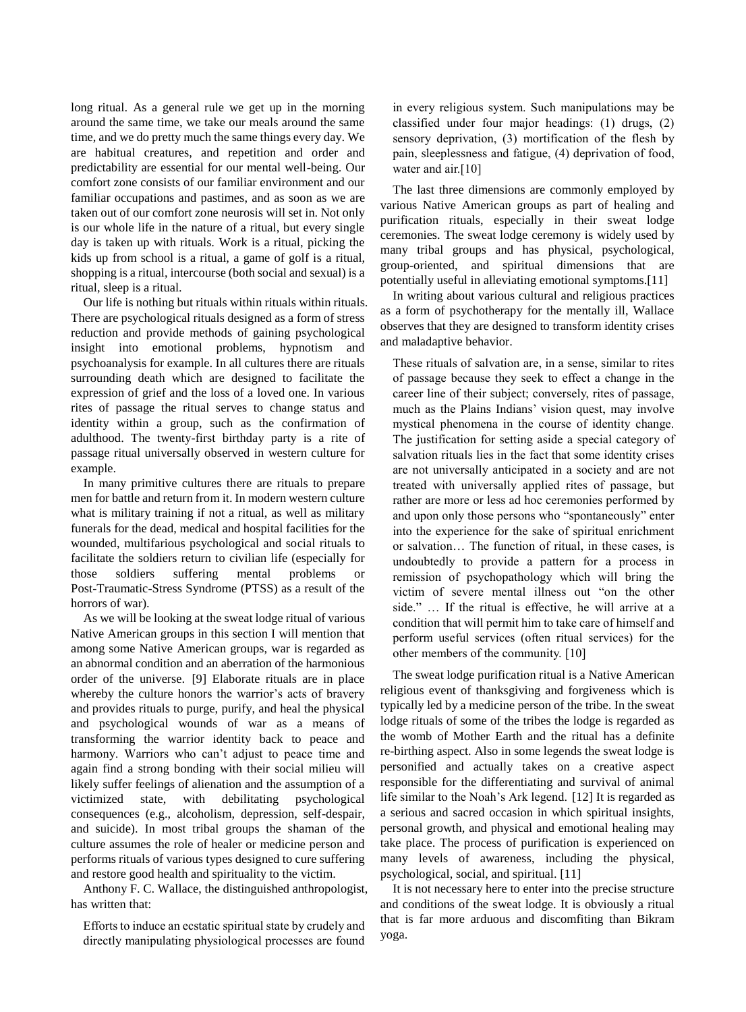long ritual. As a general rule we get up in the morning around the same time, we take our meals around the same time, and we do pretty much the same things every day. We are habitual creatures, and repetition and order and predictability are essential for our mental well-being. Our comfort zone consists of our familiar environment and our familiar occupations and pastimes, and as soon as we are taken out of our comfort zone neurosis will set in. Not only is our whole life in the nature of a ritual, but every single day is taken up with rituals. Work is a ritual, picking the kids up from school is a ritual, a game of golf is a ritual, shopping is a ritual, intercourse (both social and sexual) is a ritual, sleep is a ritual.

Our life is nothing but rituals within rituals within rituals. There are psychological rituals designed as a form of stress reduction and provide methods of gaining psychological insight into emotional problems, hypnotism and psychoanalysis for example. In all cultures there are rituals surrounding death which are designed to facilitate the expression of grief and the loss of a loved one. In various rites of passage the ritual serves to change status and identity within a group, such as the confirmation of adulthood. The twenty-first birthday party is a rite of passage ritual universally observed in western culture for example.

In many primitive cultures there are rituals to prepare men for battle and return from it. In modern western culture what is military training if not a ritual, as well as military funerals for the dead, medical and hospital facilities for the wounded, multifarious psychological and social rituals to facilitate the soldiers return to civilian life (especially for those soldiers suffering mental problems or Post-Traumatic-Stress Syndrome (PTSS) as a result of the horrors of war).

As we will be looking at the sweat lodge ritual of various Native American groups in this section I will mention that among some Native American groups, war is regarded as an abnormal condition and an aberration of the harmonious order of the universe. [9] Elaborate rituals are in place whereby the culture honors the warrior's acts of bravery and provides rituals to purge, purify, and heal the physical and psychological wounds of war as a means of transforming the warrior identity back to peace and harmony. Warriors who can't adjust to peace time and again find a strong bonding with their social milieu will likely suffer feelings of alienation and the assumption of a victimized state, with debilitating psychological consequences (e.g., alcoholism, depression, self-despair, and suicide). In most tribal groups the shaman of the culture assumes the role of healer or medicine person and performs rituals of various types designed to cure suffering and restore good health and spirituality to the victim.

Anthony F. C. Wallace, the distinguished anthropologist, has written that:

Efforts to induce an ecstatic spiritual state by crudely and directly manipulating physiological processes are found in every religious system. Such manipulations may be classified under four major headings: (1) drugs, (2) sensory deprivation, (3) mortification of the flesh by pain, sleeplessness and fatigue, (4) deprivation of food, water and air.<sup>[10]</sup>

The last three dimensions are commonly employed by various Native American groups as part of healing and purification rituals, especially in their sweat lodge ceremonies. The sweat lodge ceremony is widely used by many tribal groups and has physical, psychological, group-oriented, and spiritual dimensions that are potentially useful in alleviating emotional symptoms.[11]

In writing about various cultural and religious practices as a form of psychotherapy for the mentally ill, Wallace observes that they are designed to transform identity crises and maladaptive behavior.

These rituals of salvation are, in a sense, similar to rites of passage because they seek to effect a change in the career line of their subject; conversely, rites of passage, much as the Plains Indians' vision quest, may involve mystical phenomena in the course of identity change. The justification for setting aside a special category of salvation rituals lies in the fact that some identity crises are not universally anticipated in a society and are not treated with universally applied rites of passage, but rather are more or less ad hoc ceremonies performed by and upon only those persons who "spontaneously" enter into the experience for the sake of spiritual enrichment or salvation… The function of ritual, in these cases, is undoubtedly to provide a pattern for a process in remission of psychopathology which will bring the victim of severe mental illness out "on the other side." … If the ritual is effective, he will arrive at a condition that will permit him to take care of himself and perform useful services (often ritual services) for the other members of the community. [10]

The sweat lodge purification ritual is a Native American religious event of thanksgiving and forgiveness which is typically led by a medicine person of the tribe. In the sweat lodge rituals of some of the tribes the lodge is regarded as the womb of Mother Earth and the ritual has a definite re-birthing aspect. Also in some legends the sweat lodge is personified and actually takes on a creative aspect responsible for the differentiating and survival of animal life similar to the Noah's Ark legend. [12] It is regarded as a serious and sacred occasion in which spiritual insights, personal growth, and physical and emotional healing may take place. The process of purification is experienced on many levels of awareness, including the physical, psychological, social, and spiritual. [11]

It is not necessary here to enter into the precise structure and conditions of the sweat lodge. It is obviously a ritual that is far more arduous and discomfiting than Bikram yoga.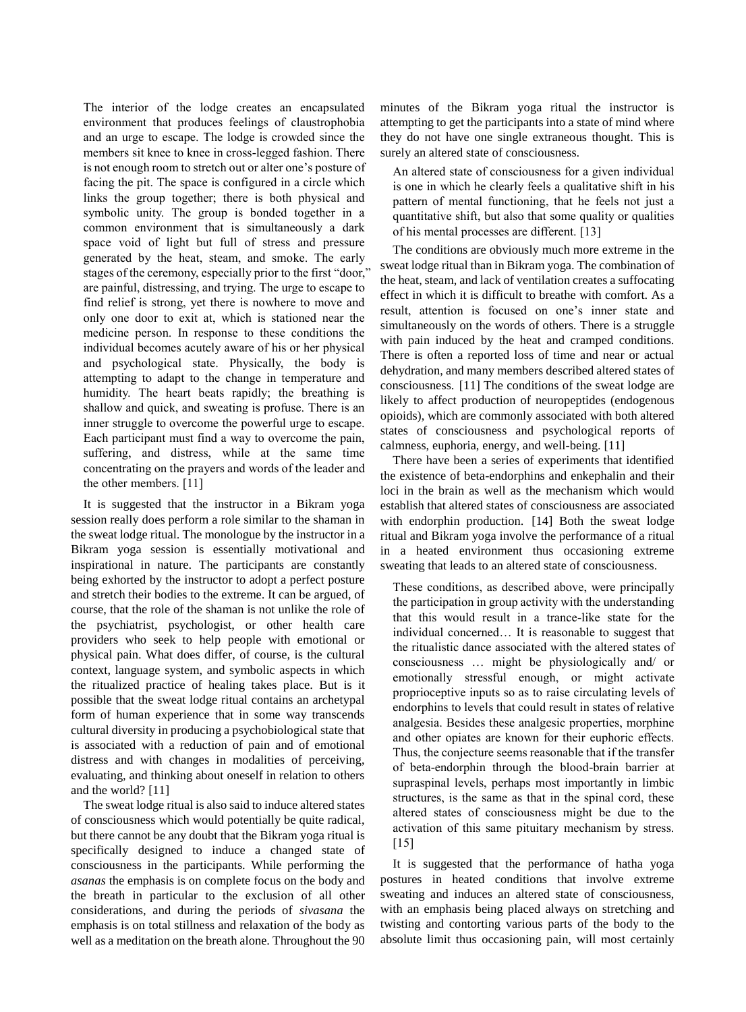The interior of the lodge creates an encapsulated environment that produces feelings of claustrophobia and an urge to escape. The lodge is crowded since the members sit knee to knee in cross-legged fashion. There is not enough room to stretch out or alter one's posture of facing the pit. The space is configured in a circle which links the group together; there is both physical and symbolic unity. The group is bonded together in a common environment that is simultaneously a dark space void of light but full of stress and pressure generated by the heat, steam, and smoke. The early stages of the ceremony, especially prior to the first "door," are painful, distressing, and trying. The urge to escape to find relief is strong, yet there is nowhere to move and only one door to exit at, which is stationed near the medicine person. In response to these conditions the individual becomes acutely aware of his or her physical and psychological state. Physically, the body is attempting to adapt to the change in temperature and humidity. The heart beats rapidly; the breathing is shallow and quick, and sweating is profuse. There is an inner struggle to overcome the powerful urge to escape. Each participant must find a way to overcome the pain, suffering, and distress, while at the same time concentrating on the prayers and words of the leader and the other members. [11]

It is suggested that the instructor in a Bikram yoga session really does perform a role similar to the shaman in the sweat lodge ritual. The monologue by the instructor in a Bikram yoga session is essentially motivational and inspirational in nature. The participants are constantly being exhorted by the instructor to adopt a perfect posture and stretch their bodies to the extreme. It can be argued, of course, that the role of the shaman is not unlike the role of the psychiatrist, psychologist, or other health care providers who seek to help people with emotional or physical pain. What does differ, of course, is the cultural context, language system, and symbolic aspects in which the ritualized practice of healing takes place. But is it possible that the sweat lodge ritual contains an archetypal form of human experience that in some way transcends cultural diversity in producing a psychobiological state that is associated with a reduction of pain and of emotional distress and with changes in modalities of perceiving, evaluating, and thinking about oneself in relation to others and the world? [11]

The sweat lodge ritual is also said to induce altered states of consciousness which would potentially be quite radical, but there cannot be any doubt that the Bikram yoga ritual is specifically designed to induce a changed state of consciousness in the participants. While performing the *asanas* the emphasis is on complete focus on the body and the breath in particular to the exclusion of all other considerations, and during the periods of *sivasana* the emphasis is on total stillness and relaxation of the body as well as a meditation on the breath alone. Throughout the 90

minutes of the Bikram yoga ritual the instructor is attempting to get the participants into a state of mind where they do not have one single extraneous thought. This is surely an altered state of consciousness.

An altered state of consciousness for a given individual is one in which he clearly feels a qualitative shift in his pattern of mental functioning, that he feels not just a quantitative shift, but also that some quality or qualities of his mental processes are different. [13]

The conditions are obviously much more extreme in the sweat lodge ritual than in Bikram yoga. The combination of the heat, steam, and lack of ventilation creates a suffocating effect in which it is difficult to breathe with comfort. As a result, attention is focused on one's inner state and simultaneously on the words of others. There is a struggle with pain induced by the heat and cramped conditions. There is often a reported loss of time and near or actual dehydration, and many members described altered states of consciousness. [11] The conditions of the sweat lodge are likely to affect production of neuropeptides (endogenous opioids), which are commonly associated with both altered states of consciousness and psychological reports of calmness, euphoria, energy, and well-being. [11]

There have been a series of experiments that identified the existence of beta-endorphins and enkephalin and their loci in the brain as well as the mechanism which would establish that altered states of consciousness are associated with endorphin production. [14] Both the sweat lodge ritual and Bikram yoga involve the performance of a ritual in a heated environment thus occasioning extreme sweating that leads to an altered state of consciousness.

These conditions, as described above, were principally the participation in group activity with the understanding that this would result in a trance-like state for the individual concerned… It is reasonable to suggest that the ritualistic dance associated with the altered states of consciousness … might be physiologically and/ or emotionally stressful enough, or might activate proprioceptive inputs so as to raise circulating levels of endorphins to levels that could result in states of relative analgesia. Besides these analgesic properties, morphine and other opiates are known for their euphoric effects. Thus, the conjecture seems reasonable that if the transfer of beta-endorphin through the blood-brain barrier at supraspinal levels, perhaps most importantly in limbic structures, is the same as that in the spinal cord, these altered states of consciousness might be due to the activation of this same pituitary mechanism by stress. [15]

It is suggested that the performance of hatha yoga postures in heated conditions that involve extreme sweating and induces an altered state of consciousness, with an emphasis being placed always on stretching and twisting and contorting various parts of the body to the absolute limit thus occasioning pain, will most certainly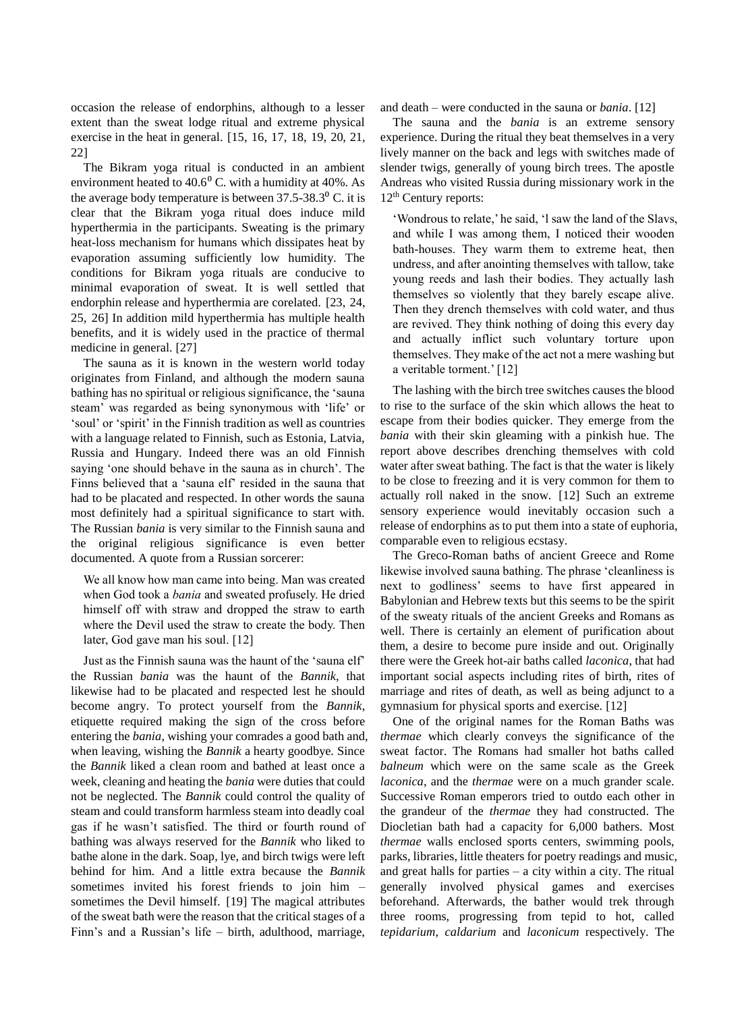occasion the release of endorphins, although to a lesser extent than the sweat lodge ritual and extreme physical exercise in the heat in general. [15, 16, 17, 18, 19, 20, 21, 22]

The Bikram yoga ritual is conducted in an ambient environment heated to  $40.6^{\circ}$  C. with a humidity at 40%. As the average body temperature is between  $37.5-38.3^{\circ}$  C. it is clear that the Bikram yoga ritual does induce mild hyperthermia in the participants. Sweating is the primary heat-loss mechanism for humans which dissipates heat by evaporation assuming sufficiently low humidity. The conditions for Bikram yoga rituals are conducive to minimal evaporation of sweat. It is well settled that endorphin release and hyperthermia are corelated. [23, 24, 25, 26] In addition mild hyperthermia has multiple health benefits, and it is widely used in the practice of thermal medicine in general. [27]

The sauna as it is known in the western world today originates from Finland, and although the modern sauna bathing has no spiritual or religious significance, the 'sauna steam' was regarded as being synonymous with 'life' or 'soul' or 'spirit' in the Finnish tradition as well as countries with a language related to Finnish, such as Estonia, Latvia, Russia and Hungary. Indeed there was an old Finnish saying 'one should behave in the sauna as in church'. The Finns believed that a 'sauna elf' resided in the sauna that had to be placated and respected. In other words the sauna most definitely had a spiritual significance to start with. The Russian *bania* is very similar to the Finnish sauna and the original religious significance is even better documented. A quote from a Russian sorcerer:

We all know how man came into being. Man was created when God took a *bania* and sweated profusely. He dried himself off with straw and dropped the straw to earth where the Devil used the straw to create the body. Then later, God gave man his soul. [12]

Just as the Finnish sauna was the haunt of the 'sauna elf' the Russian *bania* was the haunt of the *Bannik*, that likewise had to be placated and respected lest he should become angry. To protect yourself from the *Bannik*, etiquette required making the sign of the cross before entering the *bania*, wishing your comrades a good bath and, when leaving, wishing the *Bannik* a hearty goodbye. Since the *Bannik* liked a clean room and bathed at least once a week, cleaning and heating the *bania* were duties that could not be neglected. The *Bannik* could control the quality of steam and could transform harmless steam into deadly coal gas if he wasn't satisfied. The third or fourth round of bathing was always reserved for the *Bannik* who liked to bathe alone in the dark. Soap, lye, and birch twigs were left behind for him. And a little extra because the *Bannik* sometimes invited his forest friends to join him – sometimes the Devil himself. [19] The magical attributes of the sweat bath were the reason that the critical stages of a Finn's and a Russian's life – birth, adulthood, marriage,

and death – were conducted in the sauna or *bania*. [12]

The sauna and the *bania* is an extreme sensory experience. During the ritual they beat themselves in a very lively manner on the back and legs with switches made of slender twigs, generally of young birch trees. The apostle Andreas who visited Russia during missionary work in the 12<sup>th</sup> Century reports:

'Wondrous to relate,' he said, 'l saw the land of the Slavs, and while I was among them, I noticed their wooden bath-houses. They warm them to extreme heat, then undress, and after anointing themselves with tallow, take young reeds and lash their bodies. They actually lash themselves so violently that they barely escape alive. Then they drench themselves with cold water, and thus are revived. They think nothing of doing this every day and actually inflict such voluntary torture upon themselves. They make of the act not a mere washing but a veritable torment.' [12]

The lashing with the birch tree switches causes the blood to rise to the surface of the skin which allows the heat to escape from their bodies quicker. They emerge from the *bania* with their skin gleaming with a pinkish hue. The report above describes drenching themselves with cold water after sweat bathing. The fact is that the water is likely to be close to freezing and it is very common for them to actually roll naked in the snow. [12] Such an extreme sensory experience would inevitably occasion such a release of endorphins as to put them into a state of euphoria, comparable even to religious ecstasy.

The Greco-Roman baths of ancient Greece and Rome likewise involved sauna bathing. The phrase 'cleanliness is next to godliness' seems to have first appeared in Babylonian and Hebrew texts but this seems to be the spirit of the sweaty rituals of the ancient Greeks and Romans as well. There is certainly an element of purification about them, a desire to become pure inside and out. Originally there were the Greek hot-air baths called *laconica*, that had important social aspects including rites of birth, rites of marriage and rites of death, as well as being adjunct to a gymnasium for physical sports and exercise. [12]

One of the original names for the Roman Baths was *thermae* which clearly conveys the significance of the sweat factor. The Romans had smaller hot baths called *balneum* which were on the same scale as the Greek *laconica,* and the *thermae* were on a much grander scale. Successive Roman emperors tried to outdo each other in the grandeur of the *thermae* they had constructed. The Diocletian bath had a capacity for 6,000 bathers. Most *thermae* walls enclosed sports centers, swimming pools, parks, libraries, little theaters for poetry readings and music, and great halls for parties – a city within a city. The ritual generally involved physical games and exercises beforehand. Afterwards, the bather would trek through three rooms, progressing from tepid to hot, called *tepidarium*, *caldarium* and *laconicum* respectively. The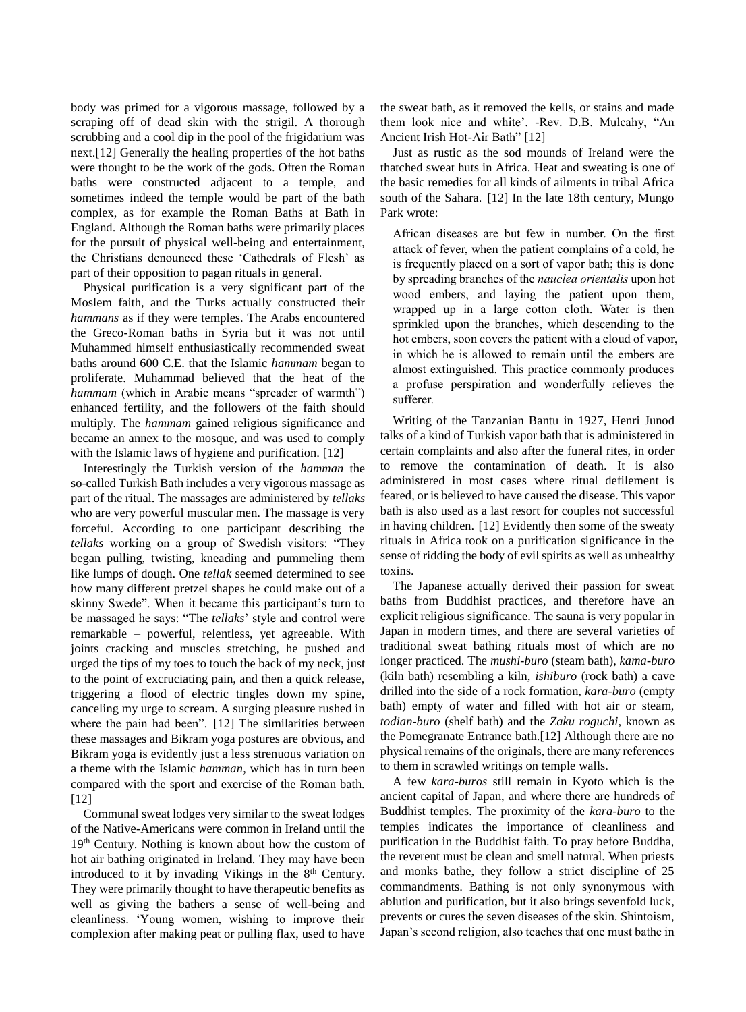body was primed for a vigorous massage, followed by a scraping off of dead skin with the strigil. A thorough scrubbing and a cool dip in the pool of the frigidarium was next.[12] Generally the healing properties of the hot baths were thought to be the work of the gods. Often the Roman baths were constructed adjacent to a temple, and sometimes indeed the temple would be part of the bath complex, as for example the Roman Baths at Bath in England. Although the Roman baths were primarily places for the pursuit of physical well-being and entertainment, the Christians denounced these 'Cathedrals of Flesh' as part of their opposition to pagan rituals in general.

Physical purification is a very significant part of the Moslem faith, and the Turks actually constructed their *hammans* as if they were temples. The Arabs encountered the Greco-Roman baths in Syria but it was not until Muhammed himself enthusiastically recommended sweat baths around 600 C.E. that the Islamic *hammam* began to proliferate. Muhammad believed that the heat of the *hammam* (which in Arabic means "spreader of warmth") enhanced fertility, and the followers of the faith should multiply. The *hammam* gained religious significance and became an annex to the mosque, and was used to comply with the Islamic laws of hygiene and purification. [12]

Interestingly the Turkish version of the *hamman* the so-called Turkish Bath includes a very vigorous massage as part of the ritual. The massages are administered by *tellaks* who are very powerful muscular men. The massage is very forceful. According to one participant describing the *tellaks* working on a group of Swedish visitors: "They began pulling, twisting, kneading and pummeling them like lumps of dough. One *tellak* seemed determined to see how many different pretzel shapes he could make out of a skinny Swede". When it became this participant's turn to be massaged he says: "The *tellaks*' style and control were remarkable – powerful, relentless, yet agreeable. With joints cracking and muscles stretching, he pushed and urged the tips of my toes to touch the back of my neck, just to the point of excruciating pain, and then a quick release, triggering a flood of electric tingles down my spine, canceling my urge to scream. A surging pleasure rushed in where the pain had been". [12] The similarities between these massages and Bikram yoga postures are obvious, and Bikram yoga is evidently just a less strenuous variation on a theme with the Islamic *hamman*, which has in turn been compared with the sport and exercise of the Roman bath. [12]

Communal sweat lodges very similar to the sweat lodges of the Native-Americans were common in Ireland until the 19<sup>th</sup> Century. Nothing is known about how the custom of hot air bathing originated in Ireland. They may have been introduced to it by invading Vikings in the  $8<sup>th</sup>$  Century. They were primarily thought to have therapeutic benefits as well as giving the bathers a sense of well-being and cleanliness. 'Young women, wishing to improve their complexion after making peat or pulling flax, used to have the sweat bath, as it removed the kells, or stains and made them look nice and white'. -Rev. D.B. Mulcahy, "An Ancient Irish Hot-Air Bath" [12]

Just as rustic as the sod mounds of Ireland were the thatched sweat huts in Africa. Heat and sweating is one of the basic remedies for all kinds of ailments in tribal Africa south of the Sahara. [12] In the late 18th century, Mungo Park wrote:

African diseases are but few in number. On the first attack of fever, when the patient complains of a cold, he is frequently placed on a sort of vapor bath; this is done by spreading branches of the *nauclea orientalis* upon hot wood embers, and laying the patient upon them, wrapped up in a large cotton cloth. Water is then sprinkled upon the branches, which descending to the hot embers, soon covers the patient with a cloud of vapor, in which he is allowed to remain until the embers are almost extinguished. This practice commonly produces a profuse perspiration and wonderfully relieves the sufferer.

Writing of the Tanzanian Bantu in 1927, Henri Junod talks of a kind of Turkish vapor bath that is administered in certain complaints and also after the funeral rites, in order to remove the contamination of death. It is also administered in most cases where ritual defilement is feared, or is believed to have caused the disease. This vapor bath is also used as a last resort for couples not successful in having children. [12] Evidently then some of the sweaty rituals in Africa took on a purification significance in the sense of ridding the body of evil spirits as well as unhealthy toxins.

The Japanese actually derived their passion for sweat baths from Buddhist practices, and therefore have an explicit religious significance. The sauna is very popular in Japan in modern times, and there are several varieties of traditional sweat bathing rituals most of which are no longer practiced. The *mushi-buro* (steam bath), *kama-buro* (kiln bath) resembling a kiln, *ishiburo* (rock bath) a cave drilled into the side of a rock formation, *kara-buro* (empty bath) empty of water and filled with hot air or steam, *todian-buro* (shelf bath) and the *Zaku roguchi*, known as the Pomegranate Entrance bath.[12] Although there are no physical remains of the originals, there are many references to them in scrawled writings on temple walls.

A few *kara-buros* still remain in Kyoto which is the ancient capital of Japan, and where there are hundreds of Buddhist temples. The proximity of the *kara-buro* to the temples indicates the importance of cleanliness and purification in the Buddhist faith. To pray before Buddha, the reverent must be clean and smell natural. When priests and monks bathe, they follow a strict discipline of 25 commandments. Bathing is not only synonymous with ablution and purification, but it also brings sevenfold luck, prevents or cures the seven diseases of the skin. Shintoism, Japan's second religion, also teaches that one must bathe in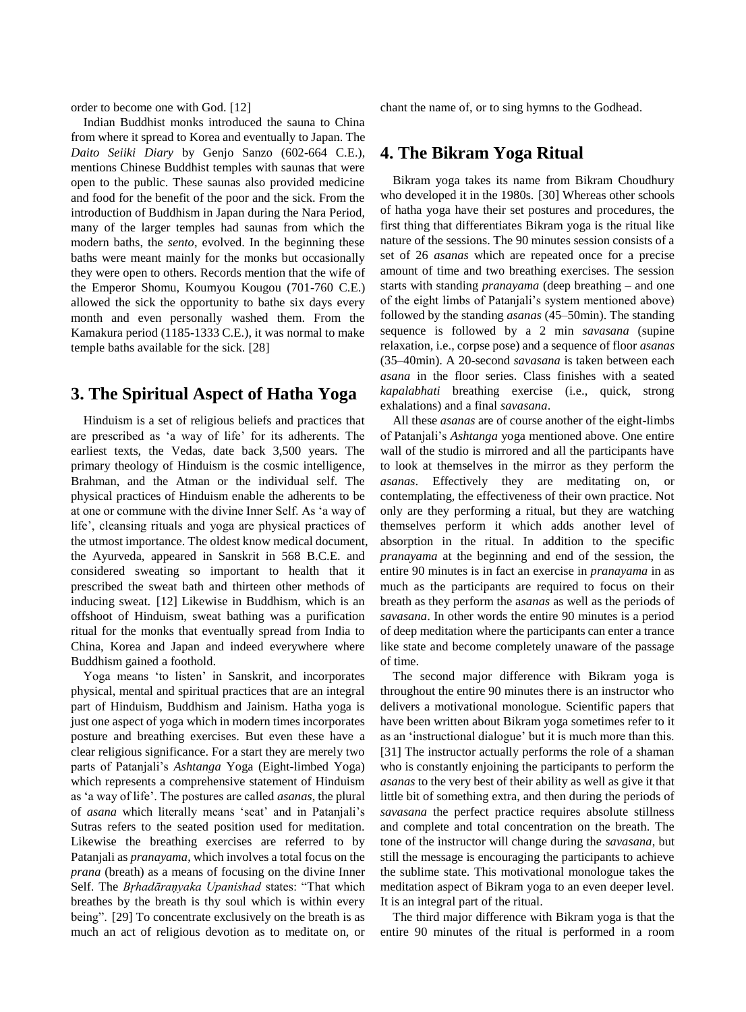order to become one with God. [12]

Indian Buddhist monks introduced the sauna to China from where it spread to Korea and eventually to Japan. The *Daito Seiiki Diary* by Genjo Sanzo (602-664 C.E.), mentions Chinese Buddhist temples with saunas that were open to the public. These saunas also provided medicine and food for the benefit of the poor and the sick. From the introduction of Buddhism in Japan during the Nara Period, many of the larger temples had saunas from which the modern baths, the *sento*, evolved. In the beginning these baths were meant mainly for the monks but occasionally they were open to others. Records mention that the wife of the Emperor Shomu, Koumyou Kougou (701-760 C.E.) allowed the sick the opportunity to bathe six days every month and even personally washed them. From the Kamakura period (1185-1333 C.E.), it was normal to make temple baths available for the sick. [28]

## **3. The Spiritual Aspect of Hatha Yoga**

Hinduism is a set of religious beliefs and practices that are prescribed as 'a way of life' for its adherents. The earliest texts, the Vedas, date back 3,500 years. The primary theology of Hinduism is the cosmic intelligence, Brahman, and the Atman or the individual self. The physical practices of Hinduism enable the adherents to be at one or commune with the divine Inner Self. As 'a way of life', cleansing rituals and yoga are physical practices of the utmost importance. The oldest know medical document, the Ayurveda, appeared in Sanskrit in 568 B.C.E. and considered sweating so important to health that it prescribed the sweat bath and thirteen other methods of inducing sweat. [12] Likewise in Buddhism, which is an offshoot of Hinduism, sweat bathing was a purification ritual for the monks that eventually spread from India to China, Korea and Japan and indeed everywhere where Buddhism gained a foothold.

Yoga means 'to listen' in Sanskrit, and incorporates physical, mental and spiritual practices that are an integral part of Hinduism, Buddhism and Jainism. Hatha yoga is just one aspect of yoga which in modern times incorporates posture and breathing exercises. But even these have a clear religious significance. For a start they are merely two parts of Patanjali's *Ashtanga* Yoga (Eight-limbed Yoga) which represents a comprehensive statement of Hinduism as 'a way of life'. The postures are called *asanas*, the plural of *asana* which literally means 'seat' and in Patanjali's Sutras refers to the seated position used for meditation. Likewise the breathing exercises are referred to by Patanjali as *pranayama*, which involves a total focus on the *prana* (breath) as a means of focusing on the divine Inner Self. The *Bŗhadāraņyaka Upanishad* states: "That which breathes by the breath is thy soul which is within every being". [29] To concentrate exclusively on the breath is as much an act of religious devotion as to meditate on, or chant the name of, or to sing hymns to the Godhead.

#### **4. The Bikram Yoga Ritual**

Bikram yoga takes its name from Bikram Choudhury who developed it in the 1980s. [30] Whereas other schools of hatha yoga have their set postures and procedures, the first thing that differentiates Bikram yoga is the ritual like nature of the sessions. The 90 minutes session consists of a set of 26 *asanas* which are repeated once for a precise amount of time and two breathing exercises. The session starts with standing *pranayama* (deep breathing – and one of the eight limbs of Patanjali's system mentioned above) followed by the standing *asanas* (45–50min). The standing sequence is followed by a 2 min *savasana* (supine relaxation, i.e., corpse pose) and a sequence of floor *asanas* (35–40min). A 20-second *savasana* is taken between each *asana* in the floor series. Class finishes with a seated *kapalabhati* breathing exercise (i.e., quick, strong exhalations) and a final *savasana*.

All these *asanas* are of course another of the eight-limbs of Patanjali's *Ashtanga* yoga mentioned above. One entire wall of the studio is mirrored and all the participants have to look at themselves in the mirror as they perform the *asanas*. Effectively they are meditating on, or contemplating, the effectiveness of their own practice. Not only are they performing a ritual, but they are watching themselves perform it which adds another level of absorption in the ritual. In addition to the specific *pranayama* at the beginning and end of the session, the entire 90 minutes is in fact an exercise in *pranayama* in as much as the participants are required to focus on their breath as they perform the a*sanas* as well as the periods of *savasana*. In other words the entire 90 minutes is a period of deep meditation where the participants can enter a trance like state and become completely unaware of the passage of time.

The second major difference with Bikram yoga is throughout the entire 90 minutes there is an instructor who delivers a motivational monologue. Scientific papers that have been written about Bikram yoga sometimes refer to it as an 'instructional dialogue' but it is much more than this. [31] The instructor actually performs the role of a shaman who is constantly enjoining the participants to perform the *asanas* to the very best of their ability as well as give it that little bit of something extra, and then during the periods of *savasana* the perfect practice requires absolute stillness and complete and total concentration on the breath. The tone of the instructor will change during the *savasana*, but still the message is encouraging the participants to achieve the sublime state. This motivational monologue takes the meditation aspect of Bikram yoga to an even deeper level. It is an integral part of the ritual.

The third major difference with Bikram yoga is that the entire 90 minutes of the ritual is performed in a room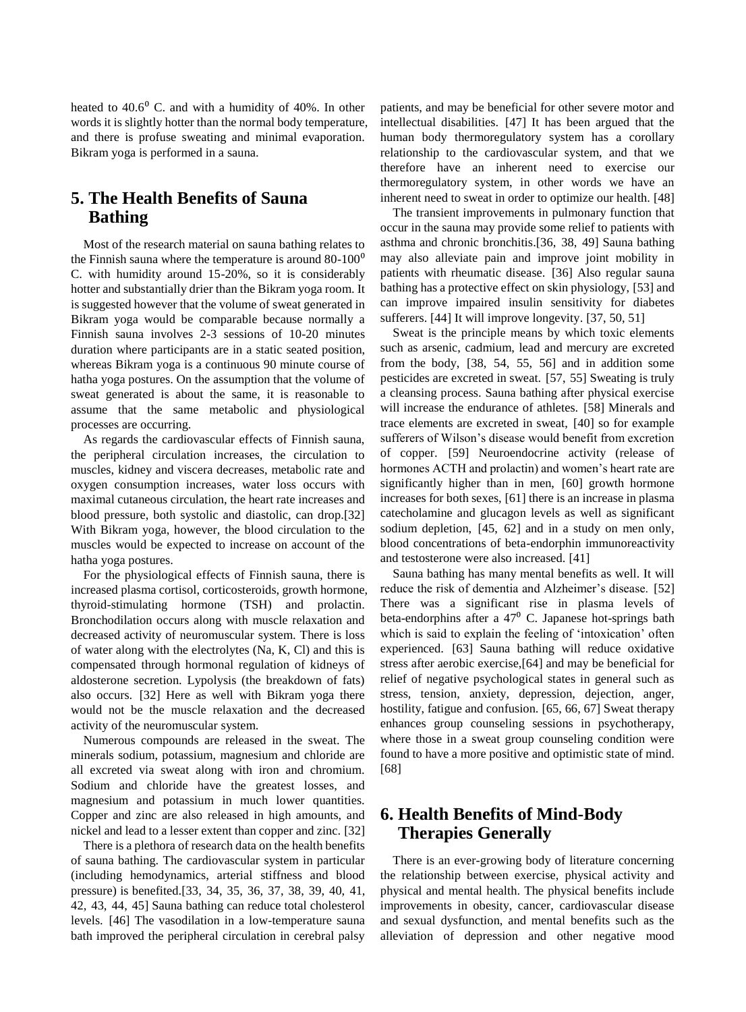heated to  $40.6<sup>o</sup>$  C. and with a humidity of  $40\%$ . In other words it is slightly hotter than the normal body temperature, and there is profuse sweating and minimal evaporation. Bikram yoga is performed in a sauna.

## **5. The Health Benefits of Sauna Bathing**

Most of the research material on sauna bathing relates to the Finnish sauna where the temperature is around  $80-100^{\circ}$ C. with humidity around 15-20%, so it is considerably hotter and substantially drier than the Bikram yoga room. It is suggested however that the volume of sweat generated in Bikram yoga would be comparable because normally a Finnish sauna involves 2-3 sessions of 10-20 minutes duration where participants are in a static seated position, whereas Bikram yoga is a continuous 90 minute course of hatha yoga postures. On the assumption that the volume of sweat generated is about the same, it is reasonable to assume that the same metabolic and physiological processes are occurring.

As regards the cardiovascular effects of Finnish sauna, the peripheral circulation increases, the circulation to muscles, kidney and viscera decreases, metabolic rate and oxygen consumption increases, water loss occurs with maximal cutaneous circulation, the heart rate increases and blood pressure, both systolic and diastolic, can drop.[32] With Bikram yoga, however, the blood circulation to the muscles would be expected to increase on account of the hatha yoga postures.

For the physiological effects of Finnish sauna, there is increased plasma cortisol, corticosteroids, growth hormone, thyroid-stimulating hormone (TSH) and prolactin. Bronchodilation occurs along with muscle relaxation and decreased activity of neuromuscular system. There is loss of water along with the electrolytes (Na, K, Cl) and this is compensated through hormonal regulation of kidneys of aldosterone secretion. Lypolysis (the breakdown of fats) also occurs. [32] Here as well with Bikram yoga there would not be the muscle relaxation and the decreased activity of the neuromuscular system.

Numerous compounds are released in the sweat. The minerals sodium, potassium, magnesium and chloride are all excreted via sweat along with iron and chromium. Sodium and chloride have the greatest losses, and magnesium and potassium in much lower quantities. Copper and zinc are also released in high amounts, and nickel and lead to a lesser extent than copper and zinc. [32]

There is a plethora of research data on the health benefits of sauna bathing. The cardiovascular system in particular (including hemodynamics, arterial stiffness and blood pressure) is benefited.[33, 34, 35, 36, 37, 38, 39, 40, 41, 42, 43, 44, 45] Sauna bathing can reduce total cholesterol levels. [46] The vasodilation in a low-temperature sauna bath improved the peripheral circulation in cerebral palsy

patients, and may be beneficial for other severe motor and intellectual disabilities. [47] It has been argued that the human body thermoregulatory system has a corollary relationship to the cardiovascular system, and that we therefore have an inherent need to exercise our thermoregulatory system, in other words we have an inherent need to sweat in order to optimize our health. [48]

The transient improvements in pulmonary function that occur in the sauna may provide some relief to patients with asthma and chronic bronchitis.[36, 38, 49] Sauna bathing may also alleviate pain and improve joint mobility in patients with rheumatic disease. [36] Also regular sauna bathing has a protective effect on skin physiology, [53] and can improve impaired insulin sensitivity for diabetes sufferers. [44] It will improve longevity. [37, 50, 51]

Sweat is the principle means by which toxic elements such as arsenic, cadmium, lead and mercury are excreted from the body, [38, 54, 55, 56] and in addition some pesticides are excreted in sweat. [57, 55] Sweating is truly a cleansing process. Sauna bathing after physical exercise will increase the endurance of athletes. [58] Minerals and trace elements are excreted in sweat, [40] so for example sufferers of Wilson's disease would benefit from excretion of copper. [59] Neuroendocrine activity (release of hormones ACTH and prolactin) and women's heart rate are significantly higher than in men, [60] growth hormone increases for both sexes, [61] there is an increase in plasma catecholamine and glucagon levels as well as significant sodium depletion, [45, 62] and in a study on men only, blood concentrations of beta-endorphin immunoreactivity and testosterone were also increased. [41]

Sauna bathing has many mental benefits as well. It will reduce the risk of dementia and Alzheimer's disease. [52] There was a significant rise in plasma levels of beta-endorphins after a  $47<sup>0</sup>$  C. Japanese hot-springs bath which is said to explain the feeling of 'intoxication' often experienced. [63] Sauna bathing will reduce oxidative stress after aerobic exercise,[64] and may be beneficial for relief of negative psychological states in general such as stress, tension, anxiety, depression, dejection, anger, hostility, fatigue and confusion. [65, 66, 67] Sweat therapy enhances group counseling sessions in psychotherapy, where those in a sweat group counseling condition were found to have a more positive and optimistic state of mind. [68]

## **6. Health Benefits of Mind-Body Therapies Generally**

There is an ever-growing body of literature concerning the relationship between exercise, physical activity and physical and mental health. The physical benefits include improvements in obesity, cancer, cardiovascular disease and sexual dysfunction, and mental benefits such as the alleviation of depression and other negative mood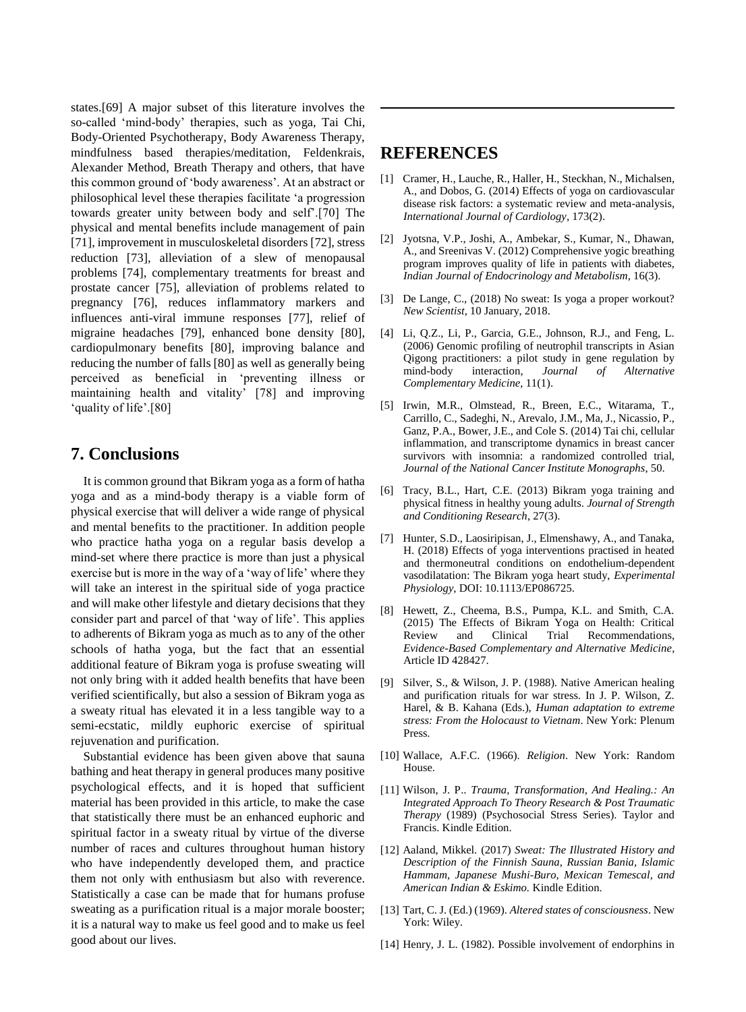states.[69] A major subset of this literature involves the so-called 'mind-body' therapies, such as yoga, Tai Chi, Body-Oriented Psychotherapy, Body Awareness Therapy, mindfulness based therapies/meditation, Feldenkrais, Alexander Method, Breath Therapy and others, that have this common ground of 'body awareness'. At an abstract or philosophical level these therapies facilitate 'a progression towards greater unity between body and self'.[70] The physical and mental benefits include management of pain [71], improvement in musculoskeletal disorders [72], stress reduction [73], alleviation of a slew of menopausal problems [74], complementary treatments for breast and prostate cancer [75], alleviation of problems related to pregnancy [76], reduces inflammatory markers and influences anti-viral immune responses [77], relief of migraine headaches [79], enhanced bone density [80], cardiopulmonary benefits [80], improving balance and reducing the number of falls [80] as well as generally being perceived as beneficial in 'preventing illness or maintaining health and vitality' [78] and improving 'quality of life'.[80]

#### **7. Conclusions**

It is common ground that Bikram yoga as a form of hatha yoga and as a mind-body therapy is a viable form of physical exercise that will deliver a wide range of physical and mental benefits to the practitioner. In addition people who practice hatha yoga on a regular basis develop a mind-set where there practice is more than just a physical exercise but is more in the way of a 'way of life' where they will take an interest in the spiritual side of yoga practice and will make other lifestyle and dietary decisions that they consider part and parcel of that 'way of life'. This applies to adherents of Bikram yoga as much as to any of the other schools of hatha yoga, but the fact that an essential additional feature of Bikram yoga is profuse sweating will not only bring with it added health benefits that have been verified scientifically, but also a session of Bikram yoga as a sweaty ritual has elevated it in a less tangible way to a semi-ecstatic, mildly euphoric exercise of spiritual rejuvenation and purification.

Substantial evidence has been given above that sauna bathing and heat therapy in general produces many positive psychological effects, and it is hoped that sufficient material has been provided in this article, to make the case that statistically there must be an enhanced euphoric and spiritual factor in a sweaty ritual by virtue of the diverse number of races and cultures throughout human history who have independently developed them, and practice them not only with enthusiasm but also with reverence. Statistically a case can be made that for humans profuse sweating as a purification ritual is a major morale booster; it is a natural way to make us feel good and to make us feel good about our lives.

### **REFERENCES**

- [1] Cramer, H., Lauche, R., Haller, H., Steckhan, N., Michalsen, A., and Dobos, G. (2014) Effects of yoga on cardiovascular disease risk factors: a systematic review and meta-analysis, *International Journal of Cardiology*, 173(2).
- [2] Jyotsna, V.P., Joshi, A., Ambekar, S., Kumar, N., Dhawan, A., and Sreenivas V. (2012) Comprehensive yogic breathing program improves quality of life in patients with diabetes, *Indian Journal of Endocrinology and Metabolism*, 16(3).
- [3] De Lange, C., (2018) No sweat: Is yoga a proper workout? *New Scientist*, 10 January, 2018.
- [4] Li, Q.Z., Li, P., Garcia, G.E., Johnson, R.J., and Feng, L. (2006) Genomic profiling of neutrophil transcripts in Asian Qigong practitioners: a pilot study in gene regulation by mind-body interaction, *Journal of Alternative Complementary Medicine*, 11(1).
- [5] Irwin, M.R., Olmstead, R., Breen, E.C., Witarama, T., Carrillo, C., Sadeghi, N., Arevalo, J.M., Ma, J., Nicassio, P., Ganz, P.A., Bower, J.E., and Cole S. (2014) Tai chi, cellular inflammation, and transcriptome dynamics in breast cancer survivors with insomnia: a randomized controlled trial, *Journal of the National Cancer Institute Monographs*, 50.
- [6] Tracy, B.L., Hart, C.E. (2013) Bikram yoga training and physical fitness in healthy young adults. *Journal of Strength and Conditioning Research*, 27(3).
- [7] Hunter, S.D., Laosiripisan, J., Elmenshawy, A., and Tanaka, H. (2018) Effects of yoga interventions practised in heated and thermoneutral conditions on endothelium-dependent vasodilatation: The Bikram yoga heart study, *Experimental Physiology*, DOI: 10.1113/EP086725.
- [8] Hewett, Z., Cheema, B.S., Pumpa, K.L. and Smith, C.A. (2015) The Effects of Bikram Yoga on Health: Critical Review and Clinical Trial Recommendations, *Evidence-Based Complementary and Alternative Medicine*, Article ID 428427.
- [9] Silver, S., & Wilson, J. P. (1988). Native American healing and purification rituals for war stress. In J. P. Wilson, Z. Harel, & B. Kahana (Eds.), *Human adaptation to extreme stress: From the Holocaust to Vietnam*. New York: Plenum Press.
- [10] Wallace, A.F.C. (1966). *Religion*. New York: Random House.
- [11] Wilson, J. P.. *Trauma, Transformation, And Healing.: An Integrated Approach To Theory Research & Post Traumatic Therapy* (1989) (Psychosocial Stress Series). Taylor and Francis. Kindle Edition.
- [12] Aaland, Mikkel*.* (2017) *Sweat: The Illustrated History and Description of the Finnish Sauna, Russian Bania, Islamic Hammam, Japanese Mushi-Buro, Mexican Temescal, and American Indian & Eskimo.* Kindle Edition.
- [13] Tart, C. J. (Ed.) (1969). *Altered states of consciousness*. New York: Wiley.
- [14] Henry, J. L. (1982). Possible involvement of endorphins in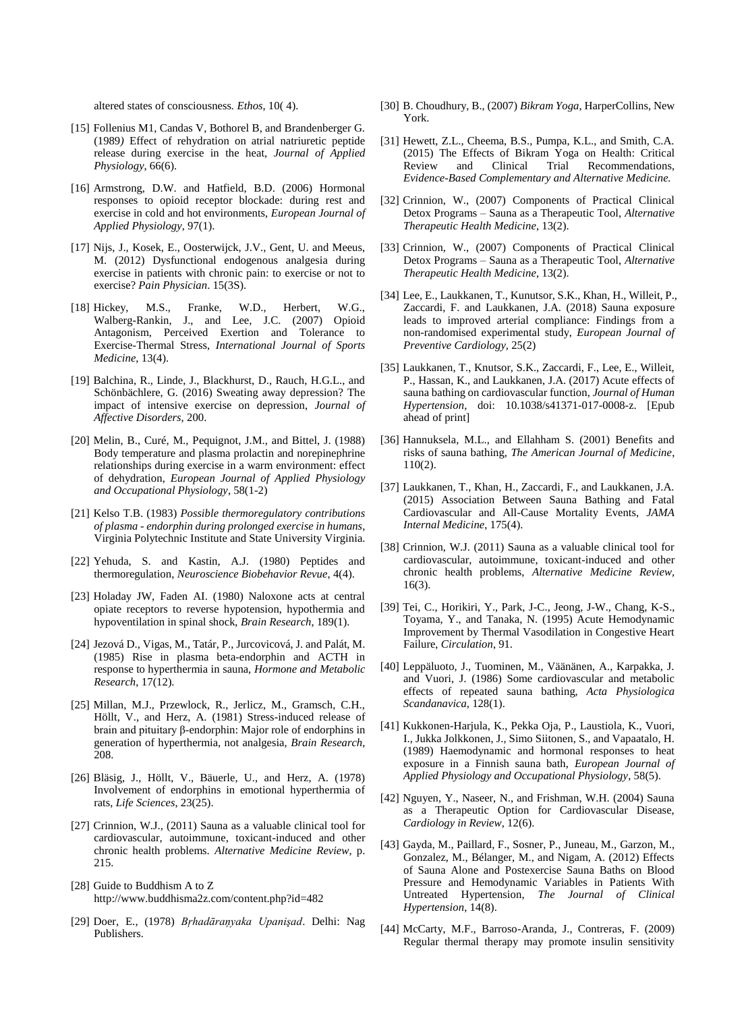altered states of consciousness*. Ethos*, 10( 4).

- [15] Follenius M1, Candas V, Bothorel B, and Brandenberger G. (1989*)* Effect of rehydration on atrial natriuretic peptide release during exercise in the heat, *Journal of Applied Physiology*, 66(6).
- [16] Armstrong, D.W. and Hatfield, B.D. (2006) Hormonal responses to opioid receptor blockade: during rest and exercise in cold and hot environments, *European Journal of Applied Physiology*, 97(1).
- [17] Nijs, J., Kosek, E., Oosterwijck, J.V., Gent, U. and Meeus, M. (2012) Dysfunctional endogenous analgesia during exercise in patients with chronic pain: to exercise or not to exercise? *Pain Physician*. 15(3S).
- [18] Hickey, M.S., Franke, W.D., Herbert, W.G., Walberg-Rankin, J., and Lee, J.C. (2007) Opioid Antagonism, Perceived Exertion and Tolerance to Exercise-Thermal Stress, *International Journal of Sports Medicine*, 13(4).
- [19] Balchina, R., Linde, J., Blackhurst, D., Rauch, H.G.L., and Schönbächlere, G. (2016) Sweating away depression? The impact of intensive exercise on depression, *Journal of Affective Disorders*, 200.
- [20] Melin, B., Curé, M., Pequignot, J.M., and Bittel, J. (1988) Body temperature and plasma prolactin and norepinephrine relationships during exercise in a warm environment: effect of dehydration, *European Journal of Applied Physiology and Occupational Physiology*, 58(1-2)
- [21] Kelso T.B. (1983) *Possible thermoregulatory contributions of plasma - endorphin during prolonged exercise in humans*, Virginia Polytechnic Institute and State University Virginia.
- [22] Yehuda, S. and Kastin, A.J. (1980) Peptides and thermoregulation, *Neuroscience Biobehavior Revue*, 4(4).
- [23] Holaday JW, Faden AI. (1980) Naloxone acts at central opiate receptors to reverse hypotension, hypothermia and hypoventilation in spinal shock, *Brain Research*, 189(1).
- [24] Jezová D., Vigas, M., Tatár, P., Jurcovicová, J. and Palát, M. (1985) Rise in plasma beta-endorphin and ACTH in response to hyperthermia in sauna, *Hormone and Metabolic Research*, 17(12).
- [25] Millan, M.J., Przewlock, R., Jerlicz, M., Gramsch, C.H., Höllt, V., and Herz, A. (1981) Stress-induced release of brain and pituitary β-endorphin: Major role of endorphins in generation of hyperthermia, not analgesia, *Brain Research*, 208.
- [26] Bläsig, J., Höllt, V., Bäuerle, U., and Herz, A. (1978) Involvement of endorphins in emotional hyperthermia of rats, *Life Sciences*, 23(25).
- [27] Crinnion, W.J., (2011) Sauna as a valuable clinical tool for cardiovascular, autoimmune, toxicant-induced and other chronic health problems. *Alternative Medicine Review*, p. 215.
- [28] Guide to Buddhism A to Z <http://www.buddhisma2z.com/content.php?id=482>
- [29] Doer, E., (1978) *Bŗhadāraņyaka Upanişad*. Delhi: Nag Publishers.
- [30] B. Choudhury, B., (2007) *Bikram Yoga*, HarperCollins, New York.
- [31] Hewett, Z.L., Cheema, B.S., Pumpa, K.L., and Smith, C.A. (2015) The Effects of Bikram Yoga on Health: Critical Review and Clinical Trial Recommendations, *Evidence-Based Complementary and Alternative Medicine.*
- [32] Crinnion, W., (2007) Components of Practical Clinical Detox Programs – Sauna as a Therapeutic Tool, *Alternative Therapeutic Health Medicine*, 13(2).
- [33] Crinnion, W., (2007) Components of Practical Clinical Detox Programs – Sauna as a Therapeutic Tool, *Alternative Therapeutic Health Medicine*, 13(2).
- [34] Lee, E., Laukkanen, T., Kunutsor, S.K., Khan, H., Willeit, P., Zaccardi, F. and Laukkanen, J.A. (2018) Sauna exposure leads to improved arterial compliance: Findings from a non-randomised experimental study, *European Journal of Preventive Cardiology,* 25(2)
- [35] Laukkanen, T., Knutsor, S.K., Zaccardi, F., Lee, E., Willeit, P., Hassan, K., and Laukkanen, J.A. (2017) Acute effects of sauna bathing on cardiovascular function, *Journal of Human Hypertension*, doi: 10.1038/s41371-017-0008-z. [Epub ahead of print]
- [36] Hannuksela, M.L., and Ellahham S. (2001) Benefits and risks of sauna bathing, *The American Journal of Medicine*, 110(2).
- [37] Laukkanen, T., Khan, H., Zaccardi, F., and Laukkanen, J.A. (2015) Association Between Sauna Bathing and Fatal Cardiovascular and All-Cause Mortality Events, *JAMA Internal Medicine*, 175(4).
- [38] Crinnion, W.J. (2011) Sauna as a valuable clinical tool for cardiovascular, autoimmune, toxicant-induced and other chronic health problems, *Alternative Medicine Review,* 16(3).
- [39] Tei, C., Horikiri, Y., Park, J-C., Jeong, J-W., Chang, K-S., Toyama, Y., and Tanaka, N. (1995) Acute Hemodynamic Improvement by Thermal Vasodilation in Congestive Heart Failure, *Circulation*, 91.
- [40] Leppäluoto, J., Tuominen, M., Väänänen, A., Karpakka, J. and Vuori, J. (1986) Some cardiovascular and metabolic effects of repeated sauna bathing, *Acta Physiologica Scandanavica*, 128(1).
- [41] Kukkonen-Harjula, K., Pekka Oja, P., Laustiola, K., Vuori, I., Jukka Jolkkonen, J., Simo Siitonen, S., and Vapaatalo, H. (1989) Haemodynamic and hormonal responses to heat exposure in a Finnish sauna bath, *European Journal of Applied Physiology and Occupational Physiology*, 58(5).
- [42] Nguyen, Y., Naseer, N., and Frishman, W.H. (2004) Sauna as a Therapeutic Option for Cardiovascular Disease, *Cardiology in Review*, 12(6).
- [43] Gayda, M., Paillard, F., Sosner, P., Juneau, M., Garzon, M., Gonzalez, M., Bélanger, M., and Nigam, A. (2012) Effects of Sauna Alone and Postexercise Sauna Baths on Blood Pressure and Hemodynamic Variables in Patients With Untreated Hypertension, *The Journal of Clinical Hypertension*, 14(8).
- [44] McCarty, M.F., Barroso-Aranda, J., Contreras, F. (2009) Regular thermal therapy may promote insulin sensitivity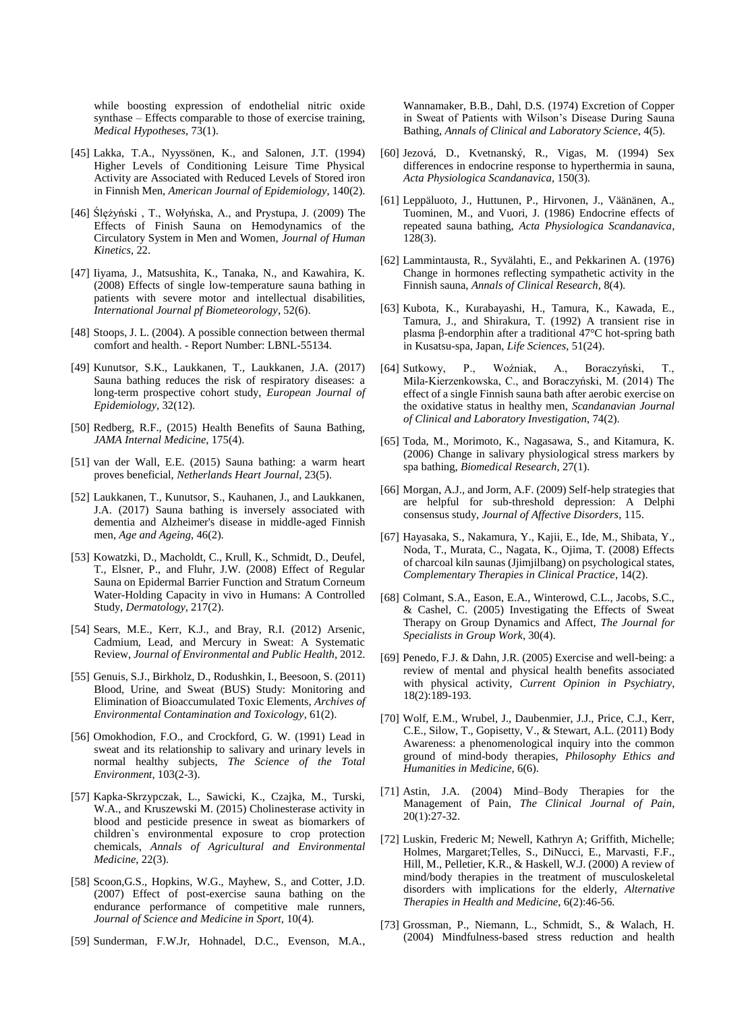while boosting expression of endothelial nitric oxide synthase – Effects comparable to those of exercise training, *Medical Hypotheses*, 73(1).

- [45] Lakka, T.A., Nyyssönen, K., and Salonen, J.T. (1994) Higher Levels of Conditioning Leisure Time Physical Activity are Associated with Reduced Levels of Stored iron in Finnish Men, *American Journal of Epidemiology*, 140(2).
- [46] Ślężyński , T., Wołyńska, A., and Prystupa, J. (2009) The Effects of Finish Sauna on Hemodynamics of the Circulatory System in Men and Women, *Journal of Human Kinetics*, 22.
- [47] Iiyama, J., Matsushita, K., Tanaka, N., and Kawahira, K. (2008) Effects of single low-temperature sauna bathing in patients with severe motor and intellectual disabilities, *International Journal pf Biometeorology*, 52(6).
- [48] Stoops, J. L. (2004). A possible connection between thermal comfort and health. - Report Number: LBNL-55134.
- [49] Kunutsor, S.K., Laukkanen, T., Laukkanen, J.A. (2017) Sauna bathing reduces the risk of respiratory diseases: a long-term prospective cohort study, *European Journal of Epidemiology*, 32(12).
- [50] Redberg, R.F., (2015) Health Benefits of Sauna Bathing, *JAMA Internal Medicine*, 175(4).
- [51] van der Wall, E.E. (2015) Sauna bathing: a warm heart proves beneficial, *Netherlands Heart Journal*, 23(5).
- [52] Laukkanen, T., Kunutsor, S., Kauhanen, J., and Laukkanen, J.A. (2017) Sauna bathing is inversely associated with dementia and Alzheimer's disease in middle-aged Finnish men, *Age and Ageing*, 46(2).
- [53] Kowatzki, D., Macholdt, C., Krull, K., Schmidt, D., Deufel, T., Elsner, P., and Fluhr, J.W. (2008) Effect of Regular Sauna on Epidermal Barrier Function and Stratum Corneum Water-Holding Capacity in vivo in Humans: A Controlled Study, *Dermatology*, 217(2).
- [54] Sears, M.E., Kerr, K.J., and Bray, R.I. (2012) Arsenic, Cadmium, Lead, and Mercury in Sweat: A Systematic Review, *Journal of Environmental and Public Health*, 2012.
- [55] Genuis, S.J., Birkholz, D., Rodushkin, I., Beesoon, S. (2011) Blood, Urine, and Sweat (BUS) Study: Monitoring and Elimination of Bioaccumulated Toxic Elements, *Archives of Environmental Contamination and Toxicology*, 61(2).
- [56] Omokhodion, F.O., and Crockford, G. W. (1991) Lead in sweat and its relationship to salivary and urinary levels in normal healthy subjects, *The Science of the Total Environment*, 103(2-3).
- [57] Kapka-Skrzypczak, L., Sawicki, K., Czajka, M., Turski, W.A., and Kruszewski M. (2015) Cholinesterase activity in blood and pesticide presence in sweat as biomarkers of children`s environmental exposure to crop protection chemicals, *Annals of Agricultural and Environmental Medicine*, 22(3).
- [58] Scoon,G.S., Hopkins, W.G., Mayhew, S., and Cotter, J.D. (2007) Effect of post-exercise sauna bathing on the endurance performance of competitive male runners, *Journal of Science and Medicine in Sport*, 10(4).
- [59] Sunderman, F.W.Jr, Hohnadel, D.C., Evenson, M.A.,

Wannamaker, B.B., Dahl, D.S. (1974) Excretion of Copper in Sweat of Patients with Wilson's Disease During Sauna Bathing, *Annals of Clinical and Laboratory Science*, 4(5).

- [60] Jezová, D., Kvetnanský, R., Vigas, M. (1994) Sex differences in endocrine response to hyperthermia in sauna, *Acta Physiologica Scandanavica*, 150(3).
- [61] Leppäluoto, J., Huttunen, P., Hirvonen, J., Väänänen, A., Tuominen, M., and Vuori, J. (1986) Endocrine effects of repeated sauna bathing, *Acta Physiologica Scandanavica*, 128(3).
- [62] Lammintausta, R., Syvälahti, E., and Pekkarinen A. (1976) Change in hormones reflecting sympathetic activity in the Finnish sauna, *Annals of Clinical Research*, 8(4).
- [63] Kubota, K., Kurabayashi, H., Tamura, K., Kawada, E., Tamura, J., and Shirakura, T. (1992) A transient rise in plasma β-endorphin after a traditional 47°C hot-spring bath in Kusatsu-spa, Japan, *Life Sciences*, 51(24).
- [64] Sutkowy, P., Woźniak, A., Boraczyński, T., Mila-Kierzenkowska, C., and Boraczyński, M. (2014) The effect of a single Finnish sauna bath after aerobic exercise on the oxidative status in healthy men, *Scandanavian Journal of Clinical and Laboratory Investigation*, 74(2).
- [65] Toda, M., Morimoto, K., Nagasawa, S., and Kitamura, K. (2006) Change in salivary physiological stress markers by spa bathing, *Biomedical Research*, 27(1).
- [66] Morgan, A.J., and Jorm, A.F. (2009) Self-help strategies that are helpful for sub-threshold depression: A Delphi consensus study, *Journal of Affective Disorders*, 115.
- [67] Hayasaka, S., Nakamura, Y., Kajii, E., Ide, M., Shibata, Y., Noda, T., Murata, C., Nagata, K., Ojima, T. (2008) Effects of charcoal kiln saunas (Jjimjilbang) on psychological states, *Complementary Therapies in Clinical Practice*, 14(2).
- [68] Colmant, S.A., Eason, E.A., Winterowd, C.L., Jacobs, S.C., & Cashel, C. (2005) Investigating the Effects of Sweat Therapy on Group Dynamics and Affect, *The Journal for Specialists in Group Work*, 30(4).
- [69] Penedo, F.J. & Dahn, J.R. (2005) Exercise and well-being: a review of mental and physical health benefits associated with physical activity, *Current Opinion in Psychiatry*, 18(2):189-193.
- [70] Wolf, E.M., Wrubel, J., Daubenmier, J.J., Price, C.J., Kerr, C.E., Silow, T., Gopisetty, V., & Stewart, A.L. (2011) Body Awareness: a phenomenological inquiry into the common ground of mind-body therapies*, Philosophy Ethics and Humanities in Medicine*, 6(6).
- [71] Astin, J.A. (2004) Mind–Body Therapies for the Management of Pain, *The Clinical Journal of Pain*, 20(1):27-32.
- [72] Luskin, Frederic M; Newell, Kathryn A; Griffith, Michelle; Holmes, Margaret;Telles, S., DiNucci, E., Marvasti, F.F., Hill, M., Pelletier, K.R., & Haskell, W.J. (2000) A review of mind/body therapies in the treatment of musculoskeletal disorders with implications for the elderly, *Alternative Therapies in Health and Medicine*, 6(2):46-56.
- [73] Grossman, P., Niemann, L., Schmidt, S., & Walach, H. (2004) Mindfulness-based stress reduction and health